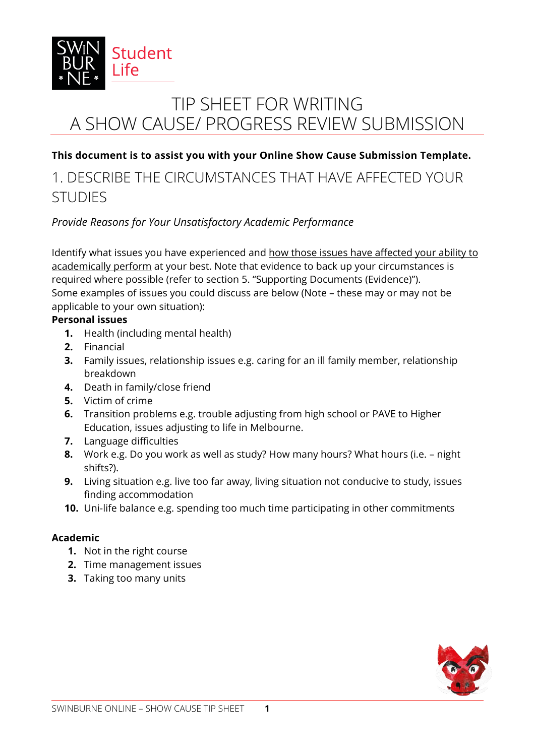

# TIP SHEET FOR WRITING A SHOW CAUSE/ PROGRESS REVIEW SUBMISSION

### **This document is to assist you with your Online Show Cause Submission Template.**

### 1. DESCRIBE THE CIRCUMSTANCES THAT HAVE AFFECTED YOUR STUDIES

### *Provide Reasons for Your Unsatisfactory Academic Performance*

Identify what issues you have experienced and how those issues have affected your ability to academically perform at your best. Note that evidence to back up your circumstances is required where possible (refer to section 5. "Supporting Documents (Evidence)"). Some examples of issues you could discuss are below (Note – these may or may not be applicable to your own situation):

#### **Personal issues**

- **1.** Health (including mental health)
- **2.** Financial
- **3.** Family issues, relationship issues e.g. caring for an ill family member, relationship breakdown
- **4.** Death in family/close friend
- **5.** Victim of crime
- **6.** Transition problems e.g. trouble adjusting from high school or PAVE to Higher Education, issues adjusting to life in Melbourne.
- **7.** Language difficulties
- **8.** Work e.g. Do you work as well as study? How many hours? What hours (i.e. night shifts?).
- **9.** Living situation e.g. live too far away, living situation not conducive to study, issues finding accommodation
- **10.** Uni-life balance e.g. spending too much time participating in other commitments

#### **Academic**

- **1.** Not in the right course
- **2.** Time management issues
- **3.** Taking too many units

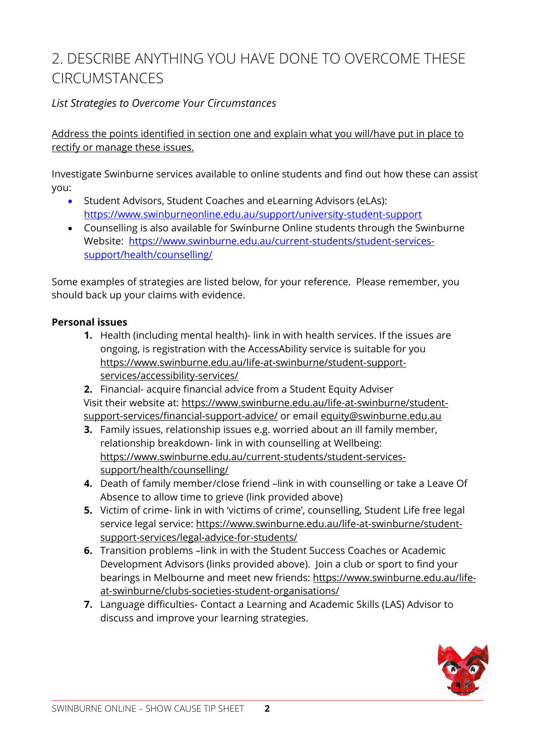## 2. DESCRIBE ANYTHING YOU HAVE DONE TO OVERCOME THESE CIRCUMSTANCES

### *List Strategies to Overcome Your Circumstances*

Address the points identified in section one and explain what you will/have put in place to rectify or manage these issues.

Investigate Swinburne services available to online students and find out how these can assist you:

- Student Advisors, Student Coaches and eLearning Advisors (eLAs): <https://www.swinburneonline.edu.au/support/university-student-support>
- Counselling is also available for Swinburne Online students through the Swinburne Website: [https://www.swinburne.edu.au/current-students/student-services](https://www.swinburne.edu.au/current-students/student-services-support/health/counselling/)[support/health/counselling/](https://www.swinburne.edu.au/current-students/student-services-support/health/counselling/)

Some examples of strategies are listed below, for your reference. Please remember, you should back up your claims with evidence.

#### **Personal issues**

- **1.** Health (including mental health)- link in with health services. If the issues are ongoing, is registration with the AccessAbility service is suitable for you [https://www.swinburne.edu.au/life-at-swinburne/student-support](https://www.swinburne.edu.au/life-at-swinburne/student-support-services/accessibility-services/)[services/accessibility-services/](https://www.swinburne.edu.au/life-at-swinburne/student-support-services/accessibility-services/)
- **2.** Financial- acquire financial advice from a Student Equity Adviser Visit their website at: [https://www.swinburne.edu.au/life-at-swinburne/student](https://www.swinburne.edu.au/life-at-swinburne/student-support-services/financial-support-advice/)[support-services/financial-support-advice/](https://www.swinburne.edu.au/life-at-swinburne/student-support-services/financial-support-advice/) or email<equity@swinburne.edu.au>
- **3.** Family issues, relationship issues e.g. worried about an ill family member, relationship breakdown- link in with counselling at Wellbeing: https://www.swinburne.edu.au/current-students/student-servicessupport/health/counselling/
- **4.** Death of family member/close friend –link in with counselling or take a Leave Of Absence to allow time to grieve (link provided above)
- **5.** Victim of crime- link in with 'victims of crime', counselling, Student Life free legal service legal service: [https://www.swinburne.edu.au/life-at-swinburne/student](https://www.swinburne.edu.au/life-at-swinburne/student-support-services/legal-advice-for-students/)[support-services/legal-advice-for-students/](https://www.swinburne.edu.au/life-at-swinburne/student-support-services/legal-advice-for-students/)
- **6.** Transition problems –link in with the Student Success Coaches or Academic Development Advisors (links provided above). Join a club or sport to find your bearings in Melbourne and meet new friends: [https://www.swinburne.edu.au/life](https://www.swinburne.edu.au/life-at-swinburne/clubs-societies-student-organisations/)[at-swinburne/clubs-societies-student-organisations/](https://www.swinburne.edu.au/life-at-swinburne/clubs-societies-student-organisations/)
- **7.** Language difficulties- Contact a Learning and Academic Skills (LAS) Advisor to discuss and improve your learning strategies.

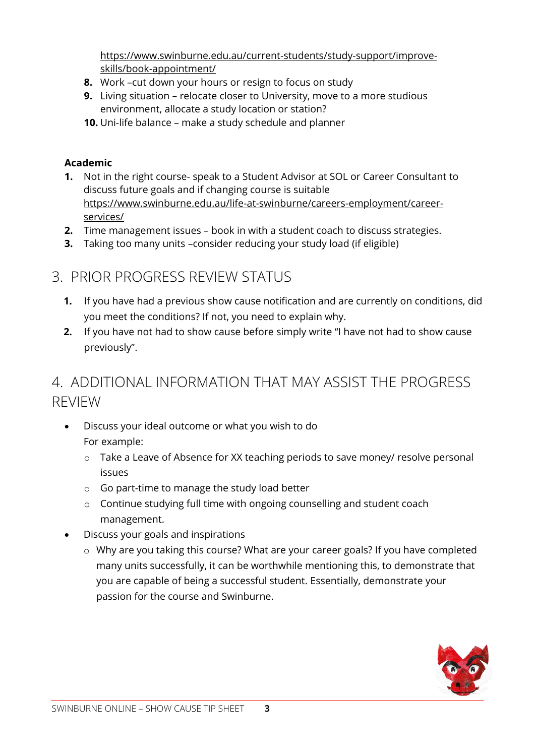https://www.swinburne.edu.au/current-students/study-support/improveskills/book-appointment/

- **8.** Work –cut down your hours or resign to focus on study
- **9.** Living situation relocate closer to University, move to a more studious environment, allocate a study location or station?
- **10.** Uni-life balance make a study schedule and planner

### **Academic**

- **1.** Not in the right course- speak to a Student Advisor at SOL or Career Consultant to discuss future goals and if changing course is suitable [https://www.swinburne.edu.au/life-at-swinburne/careers-employment/career](https://www.swinburne.edu.au/life-at-swinburne/careers-employment/career-services/)[services/](https://www.swinburne.edu.au/life-at-swinburne/careers-employment/career-services/)
- **2.** Time management issues book in with a student coach to discuss strategies.
- **3.** Taking too many units –consider reducing your study load (if eligible)

## 3. PRIOR PROGRESS REVIEW STATUS

- **1.** If you have had a previous show cause notification and are currently on conditions, did you meet the conditions? If not, you need to explain why.
- **2.** If you have not had to show cause before simply write "I have not had to show cause previously".

### 4. ADDITIONAL INFORMATION THAT MAY ASSIST THE PROGRESS REVIEW

- Discuss your ideal outcome or what you wish to do For example:
	- o Take a Leave of Absence for XX teaching periods to save money/ resolve personal issues
	- o Go part-time to manage the study load better
	- o Continue studying full time with ongoing counselling and student coach management.
- Discuss your goals and inspirations
	- o Why are you taking this course? What are your career goals? If you have completed many units successfully, it can be worthwhile mentioning this, to demonstrate that you are capable of being a successful student. Essentially, demonstrate your passion for the course and Swinburne.